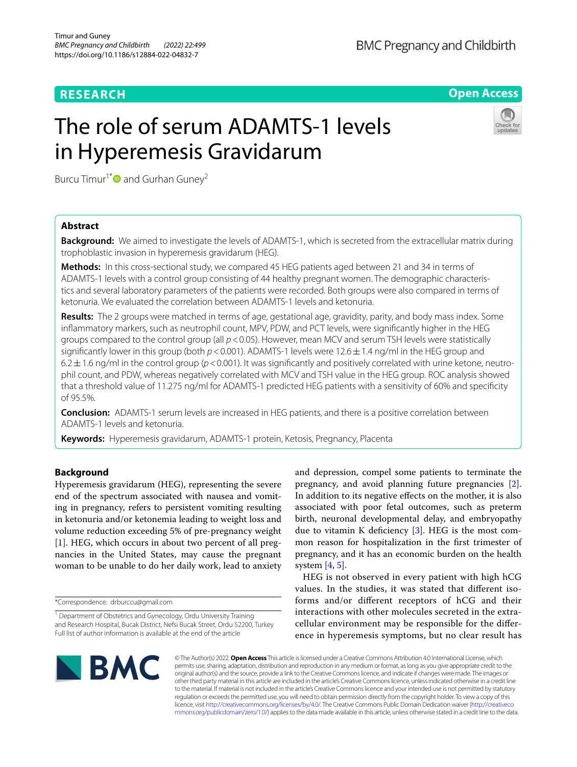## **RESEARCH**

**Open Access**

# The role of serum ADAMTS-1 levels in Hyperemesis Gravidarum



Burcu Timur<sup>1\*</sup> and Gurhan Guney<sup>2</sup>

## **Abstract**

**Background:** We aimed to investigate the levels of ADAMTS-1, which is secreted from the extracellular matrix during trophoblastic invasion in hyperemesis gravidarum (HEG).

**Methods:** In this cross-sectional study, we compared 45 HEG patients aged between 21 and 34 in terms of ADAMTS-1 levels with a control group consisting of 44 healthy pregnant women. The demographic characteristics and several laboratory parameters of the patients were recorded. Both groups were also compared in terms of ketonuria. We evaluated the correlation between ADAMTS-1 levels and ketonuria.

**Results:** The 2 groups were matched in terms of age, gestational age, gravidity, parity, and body mass index. Some infammatory markers, such as neutrophil count, MPV, PDW, and PCT levels, were signifcantly higher in the HEG groups compared to the control group (all *p*<0.05). However, mean MCV and serum TSH levels were statistically significantly lower in this group (both  $p < 0.001$ ). ADAMTS-1 levels were 12.6 ± 1.4 ng/ml in the HEG group and 6.2 $\pm$ 1.6 ng/ml in the control group ( $p$ <0.001). It was significantly and positively correlated with urine ketone, neutrophil count, and PDW, whereas negatively correlated with MCV and TSH value in the HEG group. ROC analysis showed that a threshold value of 11.275 ng/ml for ADAMTS-1 predicted HEG patients with a sensitivity of 60% and specifcity of 95.5%.

**Conclusion:** ADAMTS-1 serum levels are increased in HEG patients, and there is a positive correlation between ADAMTS-1 levels and ketonuria.

**Keywords:** Hyperemesis gravidarum, ADAMTS-1 protein, Ketosis, Pregnancy, Placenta

## **Background**

Hyperemesis gravidarum (HEG), representing the severe end of the spectrum associated with nausea and vomiting in pregnancy, refers to persistent vomiting resulting in ketonuria and/or ketonemia leading to weight loss and volume reduction exceeding 5% of pre-pregnancy weight [[1\]](#page-5-0). HEG, which occurs in about two percent of all pregnancies in the United States, may cause the pregnant woman to be unable to do her daily work, lead to anxiety

\*Correspondence: drburccu@gmail.com

and depression, compel some patients to terminate the pregnancy, and avoid planning future pregnancies [\[2](#page-5-1)]. In addition to its negative efects on the mother, it is also associated with poor fetal outcomes, such as preterm birth, neuronal developmental delay, and embryopathy due to vitamin K deficiency  $[3]$  $[3]$  $[3]$ . HEG is the most common reason for hospitalization in the frst trimester of pregnancy, and it has an economic burden on the health system  $[4, 5]$  $[4, 5]$  $[4, 5]$ .

HEG is not observed in every patient with high hCG values. In the studies, it was stated that diferent isoforms and/or diferent receptors of hCG and their interactions with other molecules secreted in the extracellular environment may be responsible for the diference in hyperemesis symptoms, but no clear result has



© The Author(s) 2022. **Open Access** This article is licensed under a Creative Commons Attribution 4.0 International License, which permits use, sharing, adaptation, distribution and reproduction in any medium or format, as long as you give appropriate credit to the original author(s) and the source, provide a link to the Creative Commons licence, and indicate if changes were made. The images or other third party material in this article are included in the article's Creative Commons licence, unless indicated otherwise in a credit line to the material. If material is not included in the article's Creative Commons licence and your intended use is not permitted by statutory regulation or exceeds the permitted use, you will need to obtain permission directly from the copyright holder. To view a copy of this licence, visit [http://creativecommons.org/licenses/by/4.0/.](http://creativecommons.org/licenses/by/4.0/) The Creative Commons Public Domain Dedication waiver ([http://creativeco](http://creativecommons.org/publicdomain/zero/1.0/) [mmons.org/publicdomain/zero/1.0/](http://creativecommons.org/publicdomain/zero/1.0/)) applies to the data made available in this article, unless otherwise stated in a credit line to the data.

<sup>&</sup>lt;sup>1</sup> Department of Obstetrics and Gynecology, Ordu University Training and Research Hospital, Bucak District, Nefsi Bucak Street, Ordu 52200, Turkey Full list of author information is available at the end of the article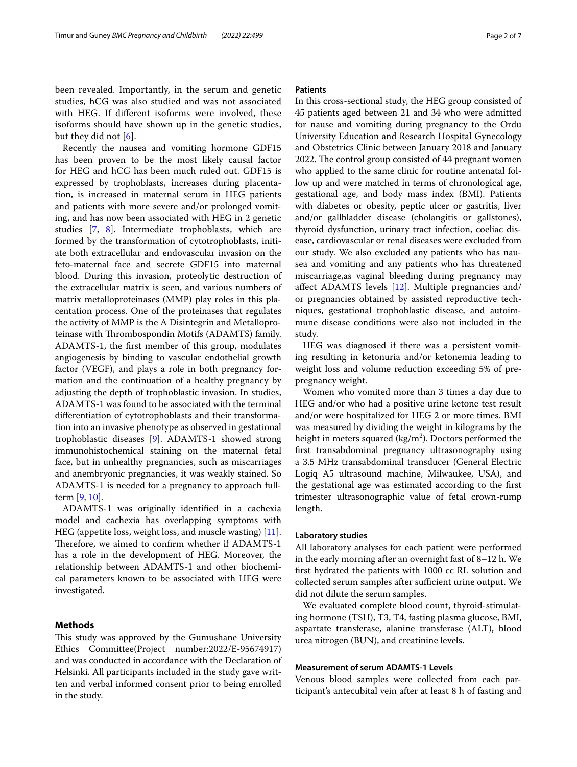been revealed. Importantly, in the serum and genetic studies, hCG was also studied and was not associated with HEG. If diferent isoforms were involved, these isoforms should have shown up in the genetic studies, but they did not [[6](#page-5-5)].

Recently the nausea and vomiting hormone GDF15 has been proven to be the most likely causal factor for HEG and hCG has been much ruled out. GDF15 is expressed by trophoblasts, increases during placentation, is increased in maternal serum in HEG patients and patients with more severe and/or prolonged vomiting, and has now been associated with HEG in 2 genetic studies [\[7](#page-5-6), [8](#page-5-7)]. Intermediate trophoblasts, which are formed by the transformation of cytotrophoblasts, initiate both extracellular and endovascular invasion on the feto-maternal face and secrete GDF15 into maternal blood. During this invasion, proteolytic destruction of the extracellular matrix is seen, and various numbers of matrix metalloproteinases (MMP) play roles in this placentation process. One of the proteinases that regulates the activity of MMP is the A Disintegrin and Metalloproteinase with Thrombospondin Motifs (ADAMTS) family. ADAMTS-1, the frst member of this group, modulates angiogenesis by binding to vascular endothelial growth factor (VEGF), and plays a role in both pregnancy formation and the continuation of a healthy pregnancy by adjusting the depth of trophoblastic invasion. In studies, ADAMTS-1 was found to be associated with the terminal diferentiation of cytotrophoblasts and their transformation into an invasive phenotype as observed in gestational trophoblastic diseases [\[9](#page-5-8)]. ADAMTS-1 showed strong immunohistochemical staining on the maternal fetal face, but in unhealthy pregnancies, such as miscarriages and anembryonic pregnancies, it was weakly stained. So ADAMTS-1 is needed for a pregnancy to approach fullterm [[9,](#page-5-8) [10](#page-5-9)].

ADAMTS-1 was originally identifed in a cachexia model and cachexia has overlapping symptoms with HEG (appetite loss, weight loss, and muscle wasting) [\[11](#page-5-10)]. Therefore, we aimed to confirm whether if ADAMTS-1 has a role in the development of HEG. Moreover, the relationship between ADAMTS-1 and other biochemical parameters known to be associated with HEG were investigated.

## **Methods**

This study was approved by the Gumushane University Ethics Committee(Project number:2022/E-95674917) and was conducted in accordance with the Declaration of Helsinki. All participants included in the study gave written and verbal informed consent prior to being enrolled in the study.

## **Patients**

In this cross-sectional study, the HEG group consisted of 45 patients aged between 21 and 34 who were admitted for nause and vomiting during pregnancy to the Ordu University Education and Research Hospital Gynecology and Obstetrics Clinic between January 2018 and January 2022. The control group consisted of 44 pregnant women who applied to the same clinic for routine antenatal follow up and were matched in terms of chronological age, gestational age, and body mass index (BMI). Patients with diabetes or obesity, peptic ulcer or gastritis, liver and/or gallbladder disease (cholangitis or gallstones), thyroid dysfunction, urinary tract infection, coeliac disease, cardiovascular or renal diseases were excluded from our study. We also excluded any patients who has nausea and vomiting and any patients who has threatened miscarriage,as vaginal bleeding during pregnancy may afect ADAMTS levels [[12](#page-5-11)]. Multiple pregnancies and/ or pregnancies obtained by assisted reproductive techniques, gestational trophoblastic disease, and autoimmune disease conditions were also not included in the study.

HEG was diagnosed if there was a persistent vomiting resulting in ketonuria and/or ketonemia leading to weight loss and volume reduction exceeding 5% of prepregnancy weight.

Women who vomited more than 3 times a day due to HEG and/or who had a positive urine ketone test result and/or were hospitalized for HEG 2 or more times. BMI was measured by dividing the weight in kilograms by the height in meters squared ( $\text{kg/m}^2$ ). Doctors performed the frst transabdominal pregnancy ultrasonography using a 3.5 MHz transabdominal transducer (General Electric Logiq A5 ultrasound machine, Milwaukee, USA), and the gestational age was estimated according to the frst trimester ultrasonographic value of fetal crown-rump length.

#### **Laboratory studies**

All laboratory analyses for each patient were performed in the early morning after an overnight fast of 8–12 h. We frst hydrated the patients with 1000 cc RL solution and collected serum samples after sufficient urine output. We did not dilute the serum samples.

We evaluated complete blood count, thyroid-stimulating hormone (TSH), T3, T4, fasting plasma glucose, BMI, aspartate transferase, alanine transferase (ALT), blood urea nitrogen (BUN), and creatinine levels.

## **Measurement of serum ADAMTS‑1 Levels**

Venous blood samples were collected from each participant's antecubital vein after at least 8 h of fasting and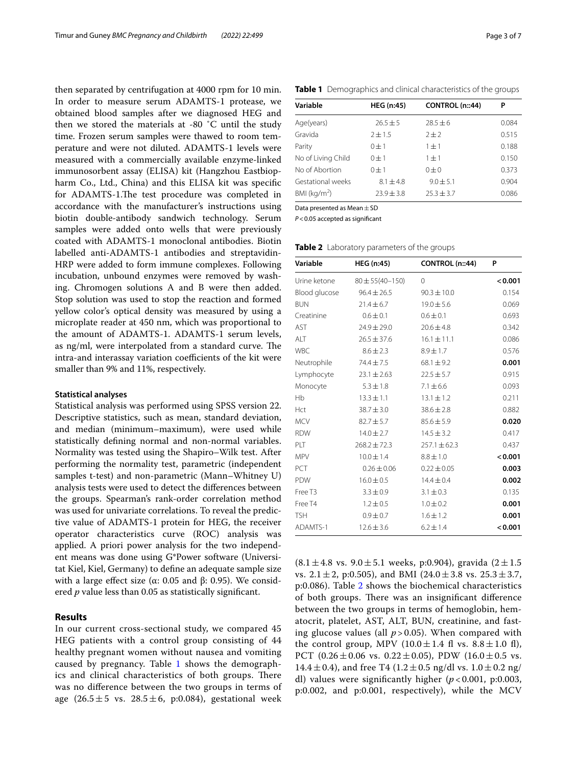then separated by centrifugation at 4000 rpm for 10 min. In order to measure serum ADAMTS-1 protease, we obtained blood samples after we diagnosed HEG and then we stored the materials at -80 ˚C until the study time. Frozen serum samples were thawed to room temperature and were not diluted. ADAMTS-1 levels were measured with a commercially available enzyme-linked immunosorbent assay (ELISA) kit (Hangzhou Eastbiopharm Co., Ltd., China) and this ELISA kit was specifc for ADAMTS-1.The test procedure was completed in accordance with the manufacturer's instructions using biotin double-antibody sandwich technology. Serum samples were added onto wells that were previously coated with ADAMTS-1 monoclonal antibodies. Biotin labelled anti-ADAMTS-1 antibodies and streptavidin-HRP were added to form immune complexes. Following incubation, unbound enzymes were removed by washing. Chromogen solutions A and B were then added. Stop solution was used to stop the reaction and formed yellow color's optical density was measured by using a microplate reader at 450 nm, which was proportional to the amount of ADAMTS-1. ADAMTS-1 serum levels, as  $ng/ml$ , were interpolated from a standard curve. The intra-and interassay variation coefficients of the kit were smaller than 9% and 11%, respectively.

#### **Statistical analyses**

Statistical analysis was performed using SPSS version 22. Descriptive statistics, such as mean, standard deviation, and median (minimum–maximum), were used while statistically defning normal and non-normal variables. Normality was tested using the Shapiro–Wilk test. After performing the normality test, parametric (independent samples t-test) and non-parametric (Mann–Whitney U) analysis tests were used to detect the diferences between the groups. Spearman's rank-order correlation method was used for univariate correlations. To reveal the predictive value of ADAMTS-1 protein for HEG, the receiver operator characteristics curve (ROC) analysis was applied. A priori power analysis for the two independent means was done using G\*Power software (Universitat Kiel, Kiel, Germany) to defne an adequate sample size with a large effect size ( $\alpha$ : 0.05 and  $\beta$ : 0.95). We considered *p* value less than 0.05 as statistically signifcant.

## **Results**

In our current cross-sectional study, we compared 45 HEG patients with a control group consisting of 44 healthy pregnant women without nausea and vomiting caused by pregnancy. Table [1](#page-2-0) shows the demographics and clinical characteristics of both groups. There was no diference between the two groups in terms of age  $(26.5 \pm 5 \text{ vs. } 28.5 \pm 6, \text{ p: } 0.084)$ , gestational week

| Variable           | <b>HEG</b> (n:45) | CONTROL (n::44) | Ρ     |  |
|--------------------|-------------------|-----------------|-------|--|
| Age(years)         | $26.5 \pm 5$      | $78.5 + 6$      | 0.084 |  |
| Gravida            | $2 + 1.5$         | $2 + 2$         | 0.515 |  |
| Parity             | $0 + 1$           | $1 + 1$         | 0.188 |  |
| No of Living Child | $0 + 1$           | $1 \pm 1$       | 0.150 |  |
| No of Abortion     | $0 + 1$           | $0\pm 0$        | 0.373 |  |
| Gestational weeks  | $8.1 \pm 4.8$     | $9.0 \pm 5.1$   | 0.904 |  |
| BMI ( $kg/m2$ )    | $23.9 \pm 3.8$    | $25.3 \pm 3.7$  | 0.086 |  |

<span id="page-2-0"></span>**Table 1** Demographics and clinical characteristics of the groups

Data presented as Mean  $\pm$  SD

*P*<0.05 accepted as signifcant

| Variable            | <b>HEG (n:45)</b>     | CONTROL (n::44)  | P       |  |
|---------------------|-----------------------|------------------|---------|--|
| Urine ketone        | $80 \pm 55(40 - 150)$ | $\Omega$         | < 0.001 |  |
| Blood glucose       | $96.4 \pm 26.5$       | $90.3 \pm 10.0$  | 0.154   |  |
| <b>BUN</b>          | $21.4 \pm 6.7$        | $19.0 \pm 5.6$   | 0.069   |  |
| Creatinine          | $0.6 \pm 0.1$         | $0.6 \pm 0.1$    | 0.693   |  |
| AST                 | $24.9 \pm 29.0$       | $20.6 \pm 4.8$   | 0.342   |  |
| ALT                 | $26.5 \pm 37.6$       | $16.1 \pm 11.1$  | 0.086   |  |
| <b>WBC</b>          | $8.6 \pm 2.3$         | $8.9 \pm 1.7$    | 0.576   |  |
| Neutrophile         | $74.4 \pm 7.5$        | $68.1 \pm 9.2$   | 0.001   |  |
| Lymphocyte          | $23.1 \pm 2.63$       | $22.5 \pm 5.7$   | 0.915   |  |
| Monocyte            | $5.3 \pm 1.8$         | $7.1 \pm 6.6$    | 0.093   |  |
| Hb                  | $13.3 \pm 1.1$        | $13.1 \pm 1.2$   | 0.211   |  |
| Hct                 | $38.7 \pm 3.0$        | $38.6 \pm 2.8$   | 0.882   |  |
| <b>MCV</b>          | $82.7 \pm 5.7$        | $85.6 \pm 5.9$   | 0.020   |  |
| <b>RDW</b>          | $14.0 \pm 2.7$        | $14.5 \pm 3.2$   | 0.417   |  |
| PLT                 | $268.2 \pm 72.3$      | $257.1 \pm 62.3$ | 0.437   |  |
| <b>MPV</b>          | $10.0 \pm 1.4$        | $8.8 \pm 1.0$    | < 0.001 |  |
| PCT                 | $0.26 \pm 0.06$       | $0.22 \pm 0.05$  | 0.003   |  |
| PDW                 | $16.0 \pm 0.5$        | $14.4 \pm 0.4$   | 0.002   |  |
| Free T <sub>3</sub> | $3.3 \pm 0.9$         | $3.1 \pm 0.3$    | 0.135   |  |
| Free T4             | $1.2 \pm 0.5$         | $1.0 \pm 0.2$    | 0.001   |  |
| <b>TSH</b>          | $0.9 \pm 0.7$         | $1.6 \pm 1.2$    | 0.001   |  |
| ADAMTS-1            | $12.6 \pm 3.6$        | $6.2 \pm 1.4$    | < 0.001 |  |

<span id="page-2-1"></span>**Table 2** Laboratory parameters of the groups

 $(8.1 \pm 4.8 \text{ vs. } 9.0 \pm 5.1 \text{ weeks, p: } 0.904)$ , gravida  $(2 \pm 1.5 \text{ miles})$ vs.  $2.1 \pm 2$ , p:0.505), and BMI (24.0  $\pm$  3.8 vs.  $25.3 \pm 3.7$ , p:0.086). Table [2](#page-2-1) shows the biochemical characteristics of both groups. There was an insignificant difference between the two groups in terms of hemoglobin, hematocrit, platelet, AST, ALT, BUN, creatinine, and fasting glucose values (all *p* > 0.05). When compared with the control group, MPV  $(10.0 \pm 1.4 \text{ ft} \text{ vs. } 8.8 \pm 1.0 \text{ ft})$ , PCT (0.26 $\pm$ 0.06 vs. 0.22 $\pm$ 0.05), PDW (16.0 $\pm$ 0.5 vs. 14.4  $\pm$  0.4), and free T4 (1.2  $\pm$  0.5 ng/dl vs. 1.0  $\pm$  0.2 ng/ dl) values were signifcantly higher (*p* < 0.001, p:0.003, p:0.002, and p:0.001, respectively), while the MCV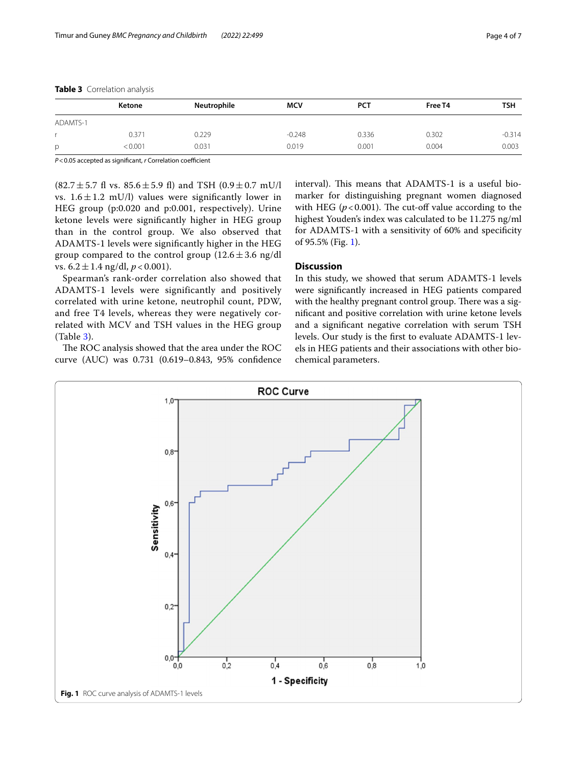|          | Ketone     | Neutrophile | <b>MCV</b> | <b>PCT</b> | Free T4 | <b>TSH</b> |  |
|----------|------------|-------------|------------|------------|---------|------------|--|
| ADAMTS-1 |            |             |            |            |         |            |  |
|          | $0.37^{1}$ | 0.229       | $-0.248$   | 0.336      | 0.302   | $-0.314$   |  |
| p        | 0.001      | 0.031       | 0.019      | 0.001      | 0.004   | 0.003      |  |

## <span id="page-3-0"></span>**Table 3** Correlation analysis

*P*<0.05 accepted as significant, *r* Correlation coefficient

 $(82.7 \pm 5.7 \text{ ft vs. } 85.6 \pm 5.9 \text{ ft})$  and TSH  $(0.9 \pm 0.7 \text{ mU/l})$ vs.  $1.6 \pm 1.2$  mU/l) values were significantly lower in HEG group (p:0.020 and p:0.001, respectively). Urine ketone levels were signifcantly higher in HEG group than in the control group. We also observed that ADAMTS-1 levels were signifcantly higher in the HEG group compared to the control group  $(12.6 \pm 3.6 \text{ ng/dl})$ vs.  $6.2 \pm 1.4$  ng/dl,  $p < 0.001$ ).

Spearman's rank-order correlation also showed that ADAMTS-1 levels were significantly and positively correlated with urine ketone, neutrophil count, PDW, and free T4 levels, whereas they were negatively correlated with MCV and TSH values in the HEG group (Table [3\)](#page-3-0).

The ROC analysis showed that the area under the ROC curve (AUC) was 0.731 (0.619–0.843, 95% confdence interval). This means that ADAMTS-1 is a useful biomarker for distinguishing pregnant women diagnosed with HEG ( $p < 0.001$ ). The cut-off value according to the highest Youden's index was calculated to be 11.275 ng/ml for ADAMTS-1 with a sensitivity of 60% and specifcity of 95.5% (Fig. [1](#page-3-1)).

## **Discussion**

In this study, we showed that serum ADAMTS-1 levels were signifcantly increased in HEG patients compared with the healthy pregnant control group. There was a signifcant and positive correlation with urine ketone levels and a signifcant negative correlation with serum TSH levels. Our study is the frst to evaluate ADAMTS-1 levels in HEG patients and their associations with other biochemical parameters.

<span id="page-3-1"></span>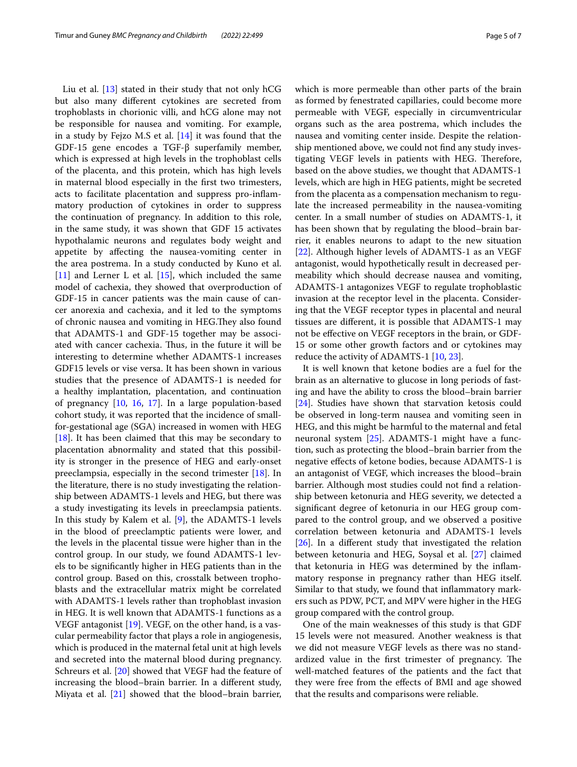Liu et al. [[13\]](#page-5-12) stated in their study that not only hCG but also many diferent cytokines are secreted from trophoblasts in chorionic villi, and hCG alone may not be responsible for nausea and vomiting. For example, in a study by Fejzo M.S et al. [[14\]](#page-5-13) it was found that the GDF-15 gene encodes a TGF-β superfamily member, which is expressed at high levels in the trophoblast cells of the placenta, and this protein, which has high levels in maternal blood especially in the frst two trimesters, acts to facilitate placentation and suppress pro-infammatory production of cytokines in order to suppress the continuation of pregnancy. In addition to this role, in the same study, it was shown that GDF 15 activates hypothalamic neurons and regulates body weight and appetite by afecting the nausea-vomiting center in the area postrema. In a study conducted by Kuno et al. [[11\]](#page-5-10) and Lerner L et al.  $[15]$  $[15]$ , which included the same model of cachexia, they showed that overproduction of GDF-15 in cancer patients was the main cause of cancer anorexia and cachexia, and it led to the symptoms of chronic nausea and vomiting in HEG. They also found that ADAMTS-1 and GDF-15 together may be associated with cancer cachexia. Thus, in the future it will be interesting to determine whether ADAMTS-1 increases GDF15 levels or vise versa. It has been shown in various studies that the presence of ADAMTS-1 is needed for a healthy implantation, placentation, and continuation of pregnancy [[10,](#page-5-9) [16](#page-5-15), [17\]](#page-5-16). In a large population-based cohort study, it was reported that the incidence of smallfor-gestational age (SGA) increased in women with HEG [[18\]](#page-5-17). It has been claimed that this may be secondary to placentation abnormality and stated that this possibility is stronger in the presence of HEG and early-onset preeclampsia, especially in the second trimester [\[18](#page-5-17)]. In the literature, there is no study investigating the relationship between ADAMTS-1 levels and HEG, but there was a study investigating its levels in preeclampsia patients. In this study by Kalem et al. [\[9](#page-5-8)], the ADAMTS-1 levels in the blood of preeclamptic patients were lower, and the levels in the placental tissue were higher than in the control group. In our study, we found ADAMTS-1 levels to be signifcantly higher in HEG patients than in the control group. Based on this, crosstalk between trophoblasts and the extracellular matrix might be correlated with ADAMTS-1 levels rather than trophoblast invasion in HEG. It is well known that ADAMTS-1 functions as a VEGF antagonist [[19](#page-5-18)]. VEGF, on the other hand, is a vascular permeability factor that plays a role in angiogenesis, which is produced in the maternal fetal unit at high levels and secreted into the maternal blood during pregnancy. Schreurs et al. [\[20](#page-5-19)] showed that VEGF had the feature of increasing the blood–brain barrier. In a diferent study, Miyata et al. [\[21\]](#page-5-20) showed that the blood–brain barrier,

as formed by fenestrated capillaries, could become more permeable with VEGF, especially in circumventricular organs such as the area postrema, which includes the nausea and vomiting center inside. Despite the relationship mentioned above, we could not fnd any study investigating VEGF levels in patients with HEG. Therefore, based on the above studies, we thought that ADAMTS-1 levels, which are high in HEG patients, might be secreted from the placenta as a compensation mechanism to regulate the increased permeability in the nausea-vomiting center. In a small number of studies on ADAMTS-1, it has been shown that by regulating the blood–brain barrier, it enables neurons to adapt to the new situation [[22\]](#page-5-21). Although higher levels of ADAMTS-1 as an VEGF antagonist, would hypothetically result in decreased permeability which should decrease nausea and vomiting, ADAMTS-1 antagonizes VEGF to regulate trophoblastic invasion at the receptor level in the placenta. Considering that the VEGF receptor types in placental and neural tissues are diferent, it is possible that ADAMTS-1 may not be efective on VEGF receptors in the brain, or GDF-15 or some other growth factors and or cytokines may reduce the activity of ADAMTS-1 [[10,](#page-5-9) [23](#page-5-22)].

It is well known that ketone bodies are a fuel for the brain as an alternative to glucose in long periods of fasting and have the ability to cross the blood–brain barrier [[24\]](#page-5-23). Studies have shown that starvation ketosis could be observed in long-term nausea and vomiting seen in HEG, and this might be harmful to the maternal and fetal neuronal system [\[25](#page-6-0)]. ADAMTS-1 might have a function, such as protecting the blood–brain barrier from the negative efects of ketone bodies, because ADAMTS-1 is an antagonist of VEGF, which increases the blood–brain barrier. Although most studies could not fnd a relationship between ketonuria and HEG severity, we detected a signifcant degree of ketonuria in our HEG group compared to the control group, and we observed a positive correlation between ketonuria and ADAMTS-1 levels [[26\]](#page-6-1). In a diferent study that investigated the relation between ketonuria and HEG, Soysal et al. [\[27](#page-6-2)] claimed that ketonuria in HEG was determined by the infammatory response in pregnancy rather than HEG itself. Similar to that study, we found that infammatory markers such as PDW, PCT, and MPV were higher in the HEG group compared with the control group.

One of the main weaknesses of this study is that GDF 15 levels were not measured. Another weakness is that we did not measure VEGF levels as there was no standardized value in the first trimester of pregnancy. The well-matched features of the patients and the fact that they were free from the efects of BMI and age showed that the results and comparisons were reliable.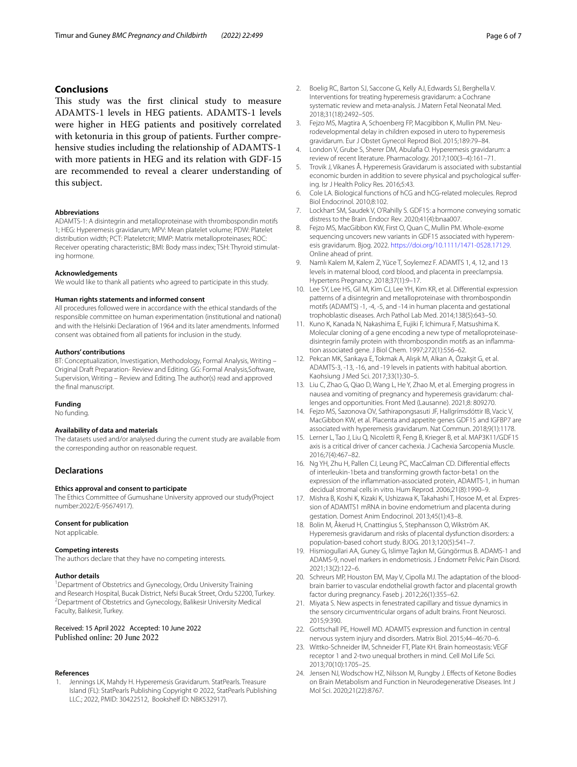## **Conclusions**

This study was the first clinical study to measure ADAMTS-1 levels in HEG patients. ADAMTS-1 levels were higher in HEG patients and positively correlated with ketonuria in this group of patients. Further comprehensive studies including the relationship of ADAMTS-1 with more patients in HEG and its relation with GDF-15 are recommended to reveal a clearer understanding of this subject.

#### **Abbreviations**

ADAMTS-1: A disintegrin and metalloproteinase with thrombospondin motifs 1; HEG: Hyperemesis gravidarum; MPV: Mean platelet volume; PDW: Platelet distribution width; PCT: Plateletcrit; MMP: Matrix metalloproteinases; ROC: Receiver operating characteristic; BMI: Body mass index; TSH: Thyroid stimulating hormone.

#### **Acknowledgements**

We would like to thank all patients who agreed to participate in this study.

#### **Human rights statements and informed consent**

All procedures followed were in accordance with the ethical standards of the responsible committee on human experimentation (institutional and national) and with the Helsinki Declaration of 1964 and its later amendments. Informed consent was obtained from all patients for inclusion in the study.

#### **Authors' contributions**

BT: Conceptualization, Investigation, Methodology, Formal Analysis, Writing – Original Draft Preparation- Review and Editing. GG: Formal Analysis,Software, Supervision, Writing – Review and Editing. The author(s) read and approved the fnal manuscript.

#### **Funding**

No funding.

### **Availability of data and materials**

The datasets used and/or analysed during the current study are available from the corresponding author on reasonable request.

## **Declarations**

#### **Ethics approval and consent to participate**

The Ethics Committee of Gumushane University approved our study(Project number:2022/E-95674917).

#### **Consent for publication**

Not applicable.

#### **Competing interests**

The authors declare that they have no competing interests.

#### **Author details**

<sup>1</sup> Department of Obstetrics and Gynecology, Ordu University Training and Research Hospital, Bucak District, Nefsi Bucak Street, Ordu 52200, Turkey. Department of Obstetrics and Gynecology, Balikesir University Medical Faculty, Balıkesir, Turkey.

Received: 15 April 2022 Accepted: 10 June 2022 Published online: 20 June 2022

#### **References**

<span id="page-5-0"></span>Jennings LK, Mahdy H. Hyperemesis Gravidarum. StatPearls. Treasure Island (FL): StatPearls Publishing Copyright © 2022, StatPearls Publishing LLC.; 2022, PMID: 30422512, Bookshelf ID: NBK532917).

- <span id="page-5-1"></span>2. Boelig RC, Barton SJ, Saccone G, Kelly AJ, Edwards SJ, Berghella V. Interventions for treating hyperemesis gravidarum: a Cochrane systematic review and meta-analysis. J Matern Fetal Neonatal Med. 2018;31(18):2492–505.
- <span id="page-5-2"></span>3. Fejzo MS, Magtira A, Schoenberg FP, Macgibbon K, Mullin PM. Neurodevelopmental delay in children exposed in utero to hyperemesis gravidarum. Eur J Obstet Gynecol Reprod Biol. 2015;189:79–84.
- <span id="page-5-3"></span>4. London V, Grube S, Sherer DM, Abulafa O. Hyperemesis gravidarum: a review of recent literature. Pharmacology. 2017;100(3–4):161–71.
- <span id="page-5-4"></span>5. Trovik J, Vikanes Å. Hyperemesis Gravidarum is associated with substantial economic burden in addition to severe physical and psychological sufering. Isr J Health Policy Res. 2016;5:43.
- <span id="page-5-5"></span>6. Cole LA. Biological functions of hCG and hCG-related molecules. Reprod Biol Endocrinol. 2010;8:102.
- <span id="page-5-6"></span>7. Lockhart SM, Saudek V, O'Rahilly S. GDF15: a hormone conveying somatic distress to the Brain. Endocr Rev. 2020;41(4):bnaa007.
- <span id="page-5-7"></span>8. Fejzo MS, MacGibbon KW, First O, Quan C, Mullin PM. Whole-exome sequencing uncovers new variants in GDF15 associated with hyperemesis gravidarum. Bjog. 2022.<https://doi.org/10.1111/1471-0528.17129>. Online ahead of print.
- <span id="page-5-8"></span>9. Namlı Kalem M, Kalem Z, Yüce T, Soylemez F. ADAMTS 1, 4, 12, and 13 levels in maternal blood, cord blood, and placenta in preeclampsia. Hypertens Pregnancy. 2018;37(1):9–17.
- <span id="page-5-9"></span>10. Lee SY, Lee HS, Gil M, Kim CJ, Lee YH, Kim KR, et al. Diferential expression patterns of a disintegrin and metalloproteinase with thrombospondin motifs (ADAMTS) -1, -4, -5, and -14 in human placenta and gestational trophoblastic diseases. Arch Pathol Lab Med. 2014;138(5):643–50.
- <span id="page-5-10"></span>11. Kuno K, Kanada N, Nakashima E, Fujiki F, Ichimura F, Matsushima K. Molecular cloning of a gene encoding a new type of metalloproteinasedisintegrin family protein with thrombospondin motifs as an infammation associated gene. J Biol Chem. 1997;272(1):556–62.
- <span id="page-5-11"></span>12. Pekcan MK, Sarıkaya E, Tokmak A, Alışık M, Alkan A, Özakşit G, et al. ADAMTS-3, -13, -16, and -19 levels in patients with habitual abortion. Kaohsiung J Med Sci. 2017;33(1):30–5.
- <span id="page-5-12"></span>13. Liu C, Zhao G, Qiao D, Wang L, He Y, Zhao M, et al. Emerging progress in nausea and vomiting of pregnancy and hyperemesis gravidarum: challenges and opportunities. Front Med (Lausanne). 2021;8: 809270.
- <span id="page-5-13"></span>14. Fejzo MS, Sazonova OV, Sathirapongsasuti JF, Hallgrímsdóttir IB, Vacic V, MacGibbon KW, et al. Placenta and appetite genes GDF15 and IGFBP7 are associated with hyperemesis gravidarum. Nat Commun. 2018;9(1):1178.
- <span id="page-5-14"></span>15. Lerner L, Tao J, Liu Q, Nicoletti R, Feng B, Krieger B, et al. MAP3K11/GDF15 axis is a critical driver of cancer cachexia. J Cachexia Sarcopenia Muscle. 2016;7(4):467–82.
- <span id="page-5-15"></span>16. Ng YH, Zhu H, Pallen CJ, Leung PC, MacCalman CD. Diferential efects of interleukin-1beta and transforming growth factor-beta1 on the expression of the infammation-associated protein, ADAMTS-1, in human decidual stromal cells in vitro. Hum Reprod. 2006;21(8):1990–9.
- <span id="page-5-16"></span>17. Mishra B, Koshi K, Kizaki K, Ushizawa K, Takahashi T, Hosoe M, et al. Expression of ADAMTS1 mRNA in bovine endometrium and placenta during gestation. Domest Anim Endocrinol. 2013;45(1):43–8.
- <span id="page-5-17"></span>18. Bolin M, Åkerud H, Cnattingius S, Stephansson O, Wikström AK. Hyperemesis gravidarum and risks of placental dysfunction disorders: a population-based cohort study. BJOG. 2013;120(5):541–7.
- <span id="page-5-18"></span>19. Hismiogullari AA, Guney G, Islimye Taşkın M, Güngörmus B. ADAMS-1 and ADAMS-9, novel markers in endometriosis. J Endometr Pelvic Pain Disord. 2021;13(2):122–6.
- <span id="page-5-19"></span>20. Schreurs MP, Houston EM, May V, Cipolla MJ. The adaptation of the bloodbrain barrier to vascular endothelial growth factor and placental growth factor during pregnancy. Faseb j. 2012;26(1):355–62.
- <span id="page-5-20"></span>21. Miyata S. New aspects in fenestrated capillary and tissue dynamics in the sensory circumventricular organs of adult brains. Front Neurosci. 2015;9:390.
- <span id="page-5-21"></span>22. Gottschall PE, Howell MD. ADAMTS expression and function in central nervous system injury and disorders. Matrix Biol. 2015;44–46:70–6.
- <span id="page-5-22"></span>23. Wittko-Schneider IM, Schneider FT, Plate KH. Brain homeostasis: VEGF receptor 1 and 2-two unequal brothers in mind. Cell Mol Life Sci. 2013;70(10):1705–25.
- <span id="page-5-23"></span>24. Jensen NJ, Wodschow HZ, Nilsson M, Rungby J. Efects of Ketone Bodies on Brain Metabolism and Function in Neurodegenerative Diseases. Int J Mol Sci. 2020;21(22):8767.